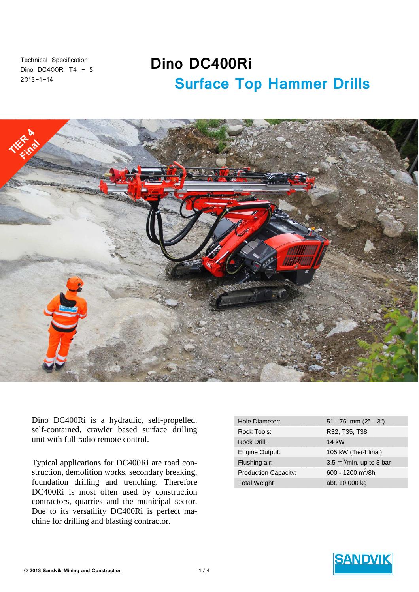Technical Specification Dino DC400Ri T4 - 5  $2015 - 1 - 14$ 

# **Dino DC400Ri Surface Top Hammer Drills**



Dino DC400Ri is a hydraulic, self-propelled. self-contained, crawler based surface drilling unit with full radio remote control.

Typical applications for DC400Ri are road construction, demolition works, secondary breaking, foundation drilling and trenching. Therefore DC400Ri is most often used by construction contractors, quarries and the municipal sector. Due to its versatility DC400Ri is perfect machine for drilling and blasting contractor.

| Hole Diameter:              | 51 - 76 mm $(2" - 3")$      |
|-----------------------------|-----------------------------|
| Rock Tools:                 | R32, T35, T38               |
| Rock Drill:                 | 14 kW                       |
| Engine Output:              | 105 kW (Tier4 final)        |
| Flushing air:               | 3,5 $m^3/m$ in, up to 8 bar |
| <b>Production Capacity:</b> | 600 - 1200 $m^3/8h$         |
| <b>Total Weight</b>         | abt. 10 000 kg              |

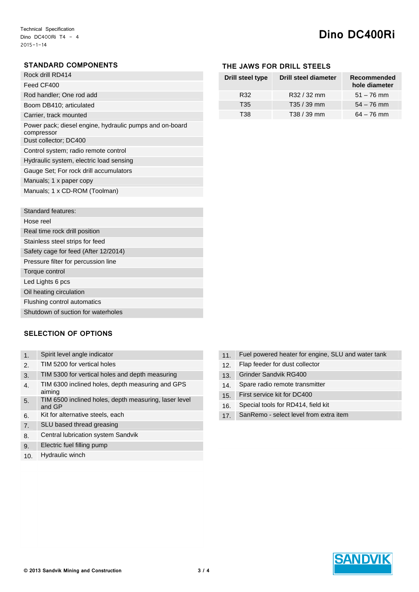# **Dino DC400Ri**

## **STANDARD COMPONENTS**

| Rock drill RD414                                                      |
|-----------------------------------------------------------------------|
| Feed CF400                                                            |
| Rod handler; One rod add                                              |
| Boom DB410; articulated                                               |
| Carrier, track mounted                                                |
| Power pack; diesel engine, hydraulic pumps and on-board<br>compressor |
| Dust collector; DC400                                                 |
| Control system; radio remote control                                  |
| Hydraulic system, electric load sensing                               |
| Gauge Set; For rock drill accumulators                                |
| Manuals; 1 x paper copy                                               |
| Manuals: 1 x CD-ROM (Toolman)                                         |

| Standard features:                   |
|--------------------------------------|
| Hose reel                            |
| Real time rock drill position        |
| Stainless steel strips for feed      |
| Safety cage for feed (After 12/2014) |
| Pressure filter for percussion line  |
| Torque control                       |
| Led Lights 6 pcs                     |
| Oil heating circulation              |
| Flushing control automatics          |
| Shutdown of suction for waterholes   |

### **SELECTION OF OPTIONS**

| $\mathbf 1$           | Spirit level angle indicator                                    |
|-----------------------|-----------------------------------------------------------------|
| $\mathcal{P}_{\cdot}$ | TIM 5200 for vertical holes                                     |
| 3.                    | TIM 5300 for vertical holes and depth measuring                 |
| 4.                    | TIM 6300 inclined holes, depth measuring and GPS<br>aiming      |
| 5.                    | TIM 6500 inclined holes, depth measuring, laser level<br>and GP |
| 6.                    | Kit for alternative steels, each                                |
| 7 <sup>2</sup>        | SLU based thread greasing                                       |
| 8.                    | Central lubrication system Sandvik                              |

- 9. Electric fuel filling pump
- 10. Hydraulic winch

# **THE JAWS FOR DRILL STEELS**

| Drill steel type | <b>Drill steel diameter</b> | Recommended<br>hole diameter |
|------------------|-----------------------------|------------------------------|
| R32              | R32 / 32 mm                 | $51 - 76$ mm                 |
| T35              | T35 / 39 mm                 | $54 - 76$ mm                 |
| T38              | $T38 / 39$ mm               | $64 - 76$ mm                 |

- 11. Fuel powered heater for engine, SLU and water tank
- 12. Flap feeder for dust collector
- 13. Grinder Sandvik RG400
- 14. Spare radio remote transmitter
- 15. First service kit for DC400
- 16. Special tools for RD414, field kit
- 17. SanRemo select level from extra item